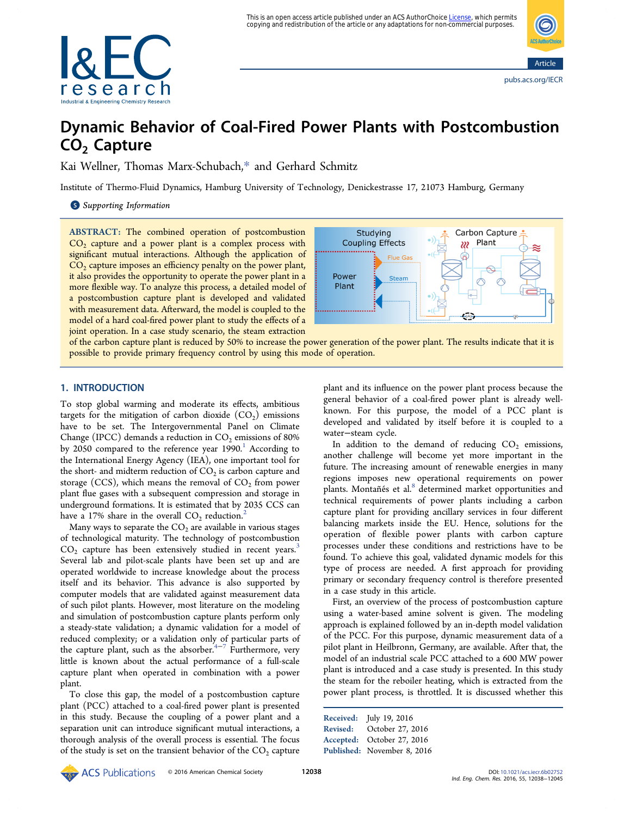This is an open access article published under an ACS AuthorChoice <u>License</u>, which permits<br>copying and redistribution of the article or any adaptations for non-commercial purposes.





# Dynamic Behavior of Coal-Fired Power Plants with Postcombustion CO<sub>2</sub> Capture

Kai Wellner, Thomas Marx-Schubach,[\\*](#page-6-0) and Gerhard Schmitz

Institute of Thermo-Fluid Dynamics, Hamburg University of Technology, Denickestrasse 17, 21073 Hamburg, Germany

S [Supporting Information](#page-6-0)

ABSTRACT: The combined operation of postcombustion  $CO<sub>2</sub>$  capture and a power plant is a complex process with significant mutual interactions. Although the application of  $CO<sub>2</sub>$  capture imposes an efficiency penalty on the power plant, it also provides the opportunity to operate the power plant in a more flexible way. To analyze this process, a detailed model of a postcombustion capture plant is developed and validated with measurement data. Afterward, the model is coupled to the model of a hard coal-fired power plant to study the effects of a joint operation. In a case study scenario, the steam extraction



of the carbon capture plant is reduced by 50% to increase the power generation of the power plant. The results indicate that it is possible to provide primary frequency control by using this mode of operation.

# 1. INTRODUCTION

To stop global warming and moderate its effects, ambitious targets for the mitigation of carbon dioxide  $(CO<sub>2</sub>)$  emissions have to be set. The Intergovernmental Panel on Climate Change (IPCC) demands a reduction in  $CO<sub>2</sub>$  emissions of 80% by 2050 compared to the reference year  $1990<sup>1</sup>$  $1990<sup>1</sup>$  According to the International Energy Agency (IEA), one important tool for the short- and midterm reduction of  $CO<sub>2</sub>$  is carbon capture and storage (CCS), which means the removal of  $CO<sub>2</sub>$  from power plant flue gases with a subsequent compression and storage in underground formations. It is estimated that by 2035 CCS can have a 17% share in the overall  $CO_2$  $CO_2$  reduction.<sup>2</sup>

Many ways to separate the  $CO<sub>2</sub>$  are available in various stages of technological maturity. The technology of postcombustion  $CO<sub>2</sub>$  capture has been extensively studied in recent years.<sup>[3](#page-6-0)</sup> Several lab and pilot-scale plants have been set up and are operated worldwide to increase knowledge about the process itself and its behavior. This advance is also supported by computer models that are validated against measurement data of such pilot plants. However, most literature on the modeling and simulation of postcombustion capture plants perform only a steady-state validation; a dynamic validation for a model of reduced complexity; or a validation only of particular parts of the capture plant, such as the absorber.<sup>[4](#page-7-0)-[7](#page-7-0)</sup> Furthermore, very little is known about the actual performance of a full-scale capture plant when operated in combination with a power plant.

To close this gap, the model of a postcombustion capture plant (PCC) attached to a coal-fired power plant is presented in this study. Because the coupling of a power plant and a separation unit can introduce significant mutual interactions, a thorough analysis of the overall process is essential. The focus of the study is set on the transient behavior of the  $CO<sub>2</sub>$  capture plant and its influence on the power plant process because the general behavior of a coal-fired power plant is already wellknown. For this purpose, the model of a PCC plant is developed and validated by itself before it is coupled to a water−steam cycle.

In addition to the demand of reducing  $CO<sub>2</sub>$  emissions, another challenge will become yet more important in the future. The increasing amount of renewable energies in many regions imposes new operational requirements on power plants. Montañés et al.<sup>[8](#page-7-0)</sup> determined market opportunities and technical requirements of power plants including a carbon capture plant for providing ancillary services in four different balancing markets inside the EU. Hence, solutions for the operation of flexible power plants with carbon capture processes under these conditions and restrictions have to be found. To achieve this goal, validated dynamic models for this type of process are needed. A first approach for providing primary or secondary frequency control is therefore presented in a case study in this article.

First, an overview of the process of postcombustion capture using a water-based amine solvent is given. The modeling approach is explained followed by an in-depth model validation of the PCC. For this purpose, dynamic measurement data of a pilot plant in Heilbronn, Germany, are available. After that, the model of an industrial scale PCC attached to a 600 MW power plant is introduced and a case study is presented. In this study the steam for the reboiler heating, which is extracted from the power plant process, is throttled. It is discussed whether this

```
Received: July 19, 2016
Revised: October 27, 2016
Accepted: October 27, 2016
Published: November 8, 2016
```
**EXECO AMERICAL SOCIET AREA** CONSTRUCTED A DOI: [10.1021/acs.iecr.6b02752](http://dx.doi.org/10.1021/acs.iecr.6b02752)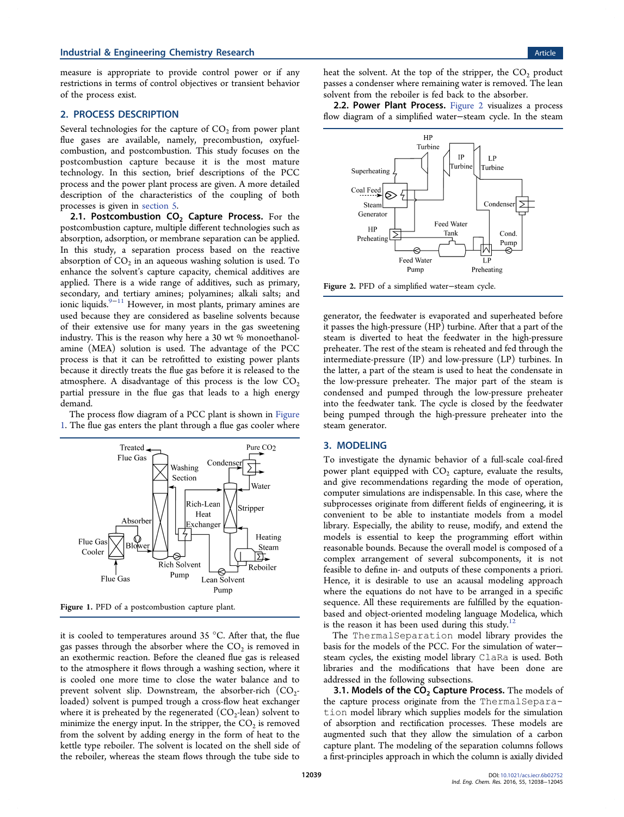<span id="page-1-0"></span>measure is appropriate to provide control power or if any restrictions in terms of control objectives or transient behavior of the process exist.

#### 2. PROCESS DESCRIPTION

Several technologies for the capture of  $CO<sub>2</sub>$  from power plant flue gases are available, namely, precombustion, oxyfuelcombustion, and postcombustion. This study focuses on the postcombustion capture because it is the most mature technology. In this section, brief descriptions of the PCC process and the power plant process are given. A more detailed description of the characteristics of the coupling of both processes is given in [section 5](#page-4-0).

2.1. Postcombustion  $CO<sub>2</sub>$  Capture Process. For the postcombustion capture, multiple different technologies such as absorption, adsorption, or membrane separation can be applied. In this study, a separation process based on the reactive absorption of  $CO<sub>2</sub>$  in an aqueous washing solution is used. To enhance the solvent's capture capacity, chemical additives are applied. There is a wide range of additives, such as primary, secondary, and tertiary amines; polyamines; alkali salts; and ionic liquids.[9](#page-7-0)−[11](#page-7-0) However, in most plants, primary amines are used because they are considered as baseline solvents because of their extensive use for many years in the gas sweetening industry. This is the reason why here a 30 wt % monoethanolamine (MEA) solution is used. The advantage of the PCC process is that it can be retrofitted to existing power plants because it directly treats the flue gas before it is released to the atmosphere. A disadvantage of this process is the low  $CO<sub>2</sub>$ partial pressure in the flue gas that leads to a high energy demand.

The process flow diagram of a PCC plant is shown in Figure 1. The flue gas enters the plant through a flue gas cooler where



Figure 1. PFD of a postcombustion capture plant.

it is cooled to temperatures around 35 °C. After that, the flue gas passes through the absorber where the  $CO<sub>2</sub>$  is removed in an exothermic reaction. Before the cleaned flue gas is released to the atmosphere it flows through a washing section, where it is cooled one more time to close the water balance and to prevent solvent slip. Downstream, the absorber-rich  $(CO<sub>2</sub>$ loaded) solvent is pumped trough a cross-flow heat exchanger where it is preheated by the regenerated  $(CO<sub>2</sub>$ -lean) solvent to minimize the energy input. In the stripper, the  $CO<sub>2</sub>$  is removed from the solvent by adding energy in the form of heat to the kettle type reboiler. The solvent is located on the shell side of the reboiler, whereas the steam flows through the tube side to

heat the solvent. At the top of the stripper, the  $CO<sub>2</sub>$  product passes a condenser where remaining water is removed. The lean solvent from the reboiler is fed back to the absorber.

2.2. Power Plant Process. Figure 2 visualizes a process flow diagram of a simplified water−steam cycle. In the steam



Figure 2. PFD of a simplified water−steam cycle.

generator, the feedwater is evaporated and superheated before it passes the high-pressure (HP) turbine. After that a part of the steam is diverted to heat the feedwater in the high-pressure preheater. The rest of the steam is reheated and fed through the intermediate-pressure (IP) and low-pressure (LP) turbines. In the latter, a part of the steam is used to heat the condensate in the low-pressure preheater. The major part of the steam is condensed and pumped through the low-pressure preheater into the feedwater tank. The cycle is closed by the feedwater being pumped through the high-pressure preheater into the steam generator.

#### 3. MODELING

To investigate the dynamic behavior of a full-scale coal-fired power plant equipped with  $CO<sub>2</sub>$  capture, evaluate the results, and give recommendations regarding the mode of operation, computer simulations are indispensable. In this case, where the subprocesses originate from different fields of engineering, it is convenient to be able to instantiate models from a model library. Especially, the ability to reuse, modify, and extend the models is essential to keep the programming effort within reasonable bounds. Because the overall model is composed of a complex arrangement of several subcomponents, it is not feasible to define in- and outputs of these components a priori. Hence, it is desirable to use an acausal modeling approach where the equations do not have to be arranged in a specific sequence. All these requirements are fulfilled by the equationbased and object-oriented modeling language Modelica, which is the reason it has been used during this study.<sup>[12](#page-7-0)</sup>

The ThermalSeparation model library provides the basis for the models of the PCC. For the simulation of water− steam cycles, the existing model library ClaRa is used. Both libraries and the modifications that have been done are addressed in the following subsections.

3.1. Models of the  $CO<sub>2</sub>$  Capture Process. The models of the capture process originate from the ThermalSeparation model library which supplies models for the simulation of absorption and rectification processes. These models are augmented such that they allow the simulation of a carbon capture plant. The modeling of the separation columns follows a first-principles approach in which the column is axially divided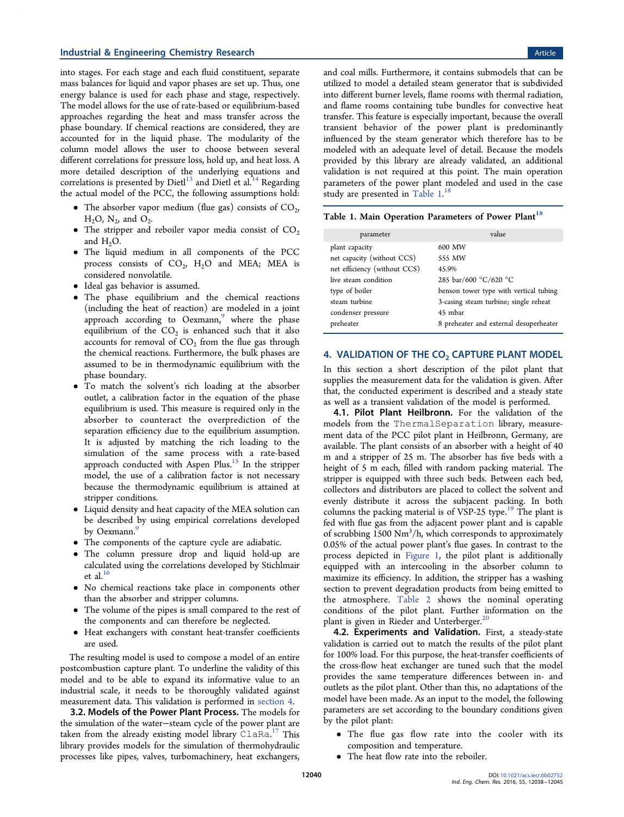into stages. For each stage and each fluid constituent, separate mass balances for liquid and vapor phases are set up. Thus, one energy balance is used for each phase and stage, respectively. The model allows for the use of rate-based or equilibrium-based approaches regarding the heat and mass transfer across the phase boundary. If chemical reactions are considered, they are accounted for in the liquid phase. The modularity of the column model allows the user to choose between several different correlations for pressure loss, hold up, and heat loss. A more detailed description of the underlying equations and correlations is presented by Dietl $^{13}$  $^{13}$  $^{13}$  and Dietl et al.<sup>[14](#page-7-0)</sup> Regarding the actual model of the PCC, the following assumptions hold:

- The absorber vapor medium (flue gas) consists of  $CO<sub>2</sub>$ ,  $H_2O$ ,  $N_2$ , and  $O_2$ .
- The stripper and reboiler vapor media consist of  $CO<sub>2</sub>$ and  $H_2O$ .
- The liquid medium in all components of the PCC process consists of  $CO<sub>2</sub>$ , H<sub>2</sub>O and MEA; MEA is considered nonvolatile.
- Ideal gas behavior is assumed.
- The phase equilibrium and the chemical reactions (including the heat of reaction) are modeled in a joint approach according to Oexmann,<sup>[9](#page-7-0)</sup> where the phase equilibrium of the  $CO<sub>2</sub>$  is enhanced such that it also accounts for removal of  $CO<sub>2</sub>$  from the flue gas through the chemical reactions. Furthermore, the bulk phases are assumed to be in thermodynamic equilibrium with the phase boundary.
- To match the solvent's rich loading at the absorber outlet, a calibration factor in the equation of the phase equilibrium is used. This measure is required only in the absorber to counteract the overprediction of the separation efficiency due to the equilibrium assumption. It is adjusted by matching the rich loading to the simulation of the same process with a rate-based approach conducted with Aspen Plus. $15$  In the stripper model, the use of a calibration factor is not necessary because the thermodynamic equilibrium is attained at stripper conditions.
- Liquid density and heat capacity of the MEA solution can be described by using empirical correlations developed by Oexmann.<sup>[9](#page-7-0)</sup>
- The components of the capture cycle are adiabatic.
- The column pressure drop and liquid hold-up are calculated using the correlations developed by Stichlmair et al.<sup>[16](#page-7-0)</sup>
- No chemical reactions take place in components other than the absorber and stripper columns.
- The volume of the pipes is small compared to the rest of the components and can therefore be neglected.
- Heat exchangers with constant heat-transfer coefficients are used.

The resulting model is used to compose a model of an entire postcombustion capture plant. To underline the validity of this model and to be able to expand its informative value to an industrial scale, it needs to be thoroughly validated against measurement data. This validation is performed in section 4.

3.2. Models of the Power Plant Process. The models for the simulation of the water−steam cycle of the power plant are taken from the already existing model library ClaRa.<sup>[17](#page-7-0)</sup> This library provides models for the simulation of thermohydraulic processes like pipes, valves, turbomachinery, heat exchangers,

and coal mills. Furthermore, it contains submodels that can be utilized to model a detailed steam generator that is subdivided into different burner levels, flame rooms with thermal radiation, and flame rooms containing tube bundles for convective heat transfer. This feature is especially important, because the overall transient behavior of the power plant is predominantly influenced by the steam generator which therefore has to be modeled with an adequate level of detail. Because the models provided by this library are already validated, an additional validation is not required at this point. The main operation parameters of the power plant modeled and used in the case study are presented in Table 1.<sup>[18](#page-7-0)</sup>

| Table 1. Main Operation Parameters of Power Plant <sup>18</sup> |  |  |  |  |
|-----------------------------------------------------------------|--|--|--|--|
|-----------------------------------------------------------------|--|--|--|--|

| parameter                    | value                                  |  |  |
|------------------------------|----------------------------------------|--|--|
| plant capacity               | 600 MW                                 |  |  |
| net capacity (without CCS)   | 555 MW                                 |  |  |
| net efficiency (without CCS) | 45.9%                                  |  |  |
| live steam condition         | 285 bar/600 °C/620 °C                  |  |  |
| type of boiler               | benson tower type with vertical tubing |  |  |
| steam turbine                | 3-casing steam turbine; single reheat  |  |  |
| condenser pressure           | 45 mbar                                |  |  |
| preheater                    | 8 preheater and external desuperheater |  |  |

#### 4. VALIDATION OF THE  $CO<sub>2</sub>$  CAPTURE PLANT MODEL

In this section a short description of the pilot plant that supplies the measurement data for the validation is given. After that, the conducted experiment is described and a steady state as well as a transient validation of the model is performed.

4.1. Pilot Plant Heilbronn. For the validation of the models from the ThermalSeparation library, measurement data of the PCC pilot plant in Heilbronn, Germany, are available. The plant consists of an absorber with a height of 40 m and a stripper of 25 m. The absorber has five beds with a height of 5 m each, filled with random packing material. The stripper is equipped with three such beds. Between each bed, collectors and distributors are placed to collect the solvent and evenly distribute it across the subjacent packing. In both columns the packing material is of VSP-25 type.<sup>[19](#page-7-0)</sup> The plant is fed with flue gas from the adjacent power plant and is capable of scrubbing 1500 Nm<sup>3</sup>/h, which corresponds to approximately 0.05% of the actual power plant's flue gases. In contrast to the process depicted in [Figure 1](#page-1-0), the pilot plant is additionally equipped with an intercooling in the absorber column to maximize its efficiency. In addition, the stripper has a washing section to prevent degradation products from being emitted to the atmosphere. [Table 2](#page-3-0) shows the nominal operating conditions of the pilot plant. Further information on the plant is given in Rieder and Unterberger.<sup>[20](#page-7-0)</sup>

4.2. Experiments and Validation. First, a steady-state validation is carried out to match the results of the pilot plant for 100% load. For this purpose, the heat-transfer coefficients of the cross-flow heat exchanger are tuned such that the model provides the same temperature differences between in- and outlets as the pilot plant. Other than this, no adaptations of the model have been made. As an input to the model, the following parameters are set according to the boundary conditions given by the pilot plant:

- The flue gas flow rate into the cooler with its composition and temperature.
- The heat flow rate into the reboiler.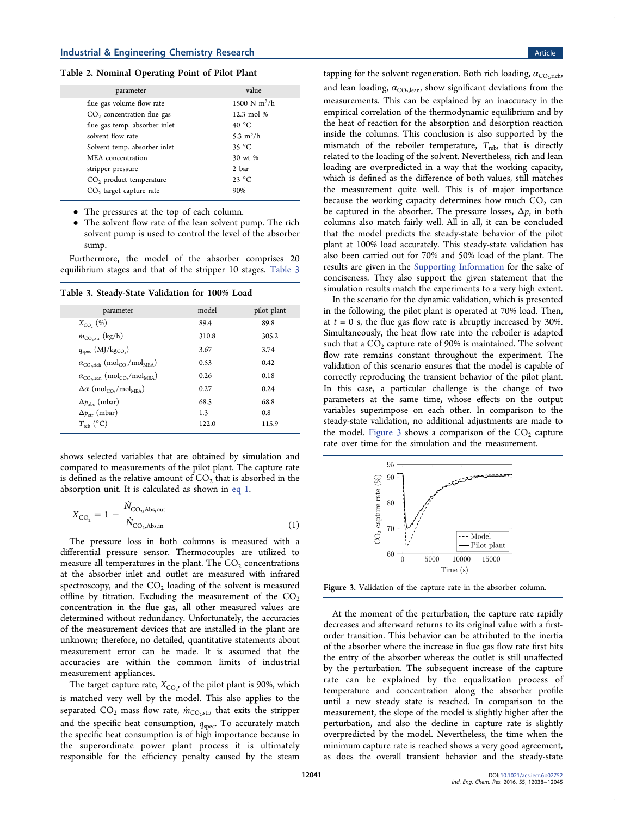#### <span id="page-3-0"></span>Table 2. Nominal Operating Point of Pilot Plant

| parameter                           | value                 |  |
|-------------------------------------|-----------------------|--|
| flue gas volume flow rate           | 1500 N $m^3/h$        |  |
| $CO2$ concentration flue gas        | $12.3 \text{ mol } %$ |  |
| flue gas temp. absorber inlet       | 40 $^{\circ}$ C       |  |
| solvent flow rate                   | 5.3 $m^3/h$           |  |
| Solvent temp. absorber inlet        | $35^{\circ}$ C        |  |
| MEA concentration                   | 30 wt %               |  |
| stripper pressure                   | 2 bar                 |  |
| $CO2$ product temperature           | $23^{\circ}$ C        |  |
| CO <sub>2</sub> target capture rate | 90%                   |  |
|                                     |                       |  |

• The pressures at the top of each column.

• The solvent flow rate of the lean solvent pump. The rich solvent pump is used to control the level of the absorber sump.

Furthermore, the model of the absorber comprises 20 equilibrium stages and that of the stripper 10 stages. Table 3

Table 3. Steady-State Validation for 100% Load

| parameter                                                                               | model | pilot plant |
|-----------------------------------------------------------------------------------------|-------|-------------|
| $X_{CO}$ , (%)                                                                          | 89.4  | 89.8        |
| $\dot{m}_{\text{CO}_2,\text{str}}$ (kg/h)                                               | 310.8 | 305.2       |
| $q_{\rm spec}$ (MJ/kg <sub>CO</sub> )                                                   | 3.67  | 3.74        |
| $\alpha_{\rm CO, rich}$ (mol <sub>CO</sub> /mol <sub>MEA</sub> )                        | 0.53  | 0.42        |
| $\alpha_{\text{CO}_2, \text{lean}} \text{ (mol}_{\text{CO}_2}\text{/mol}_{\text{MEA}})$ | 0.26  | 0.18        |
| $\Delta \alpha$ (mol <sub>CO</sub> <sub>2</sub> /mol <sub>MEA</sub> )                   | 0.27  | 0.24        |
| $\Delta p_{\rm abs}$ (mbar)                                                             | 68.5  | 68.8        |
| $\Delta p_{\rm str}$ (mbar)                                                             | 1.3   | 0.8         |
| $T_{\rm reh}$ (°C)                                                                      | 122.0 | 115.9       |

shows selected variables that are obtained by simulation and compared to measurements of the pilot plant. The capture rate is defined as the relative amount of  $CO<sub>2</sub>$  that is absorbed in the absorption unit. It is calculated as shown in eq 1.

$$
X_{\rm CO_2} = 1 - \frac{\dot{N}_{\rm CO_2, Abs,out}}{\dot{N}_{\rm CO_2, Abs,in}}
$$
\n(1)

The pressure loss in both columns is measured with a differential pressure sensor. Thermocouples are utilized to measure all temperatures in the plant. The  $CO<sub>2</sub>$  concentrations at the absorber inlet and outlet are measured with infrared spectroscopy, and the  $CO<sub>2</sub>$  loading of the solvent is measured offline by titration. Excluding the measurement of the  $CO<sub>2</sub>$ concentration in the flue gas, all other measured values are determined without redundancy. Unfortunately, the accuracies of the measurement devices that are installed in the plant are unknown; therefore, no detailed, quantitative statements about measurement error can be made. It is assumed that the accuracies are within the common limits of industrial measurement appliances.

The target capture rate,  $X_{\text{CO}_2}$ , of the pilot plant is 90%, which is matched very well by the model. This also applies to the separated  $CO_2$  mass flow rate,  $\dot{m}_{CO_2 str}$ , that exits the stripper and the specific heat consumption,  $q_{\rm spec}$ . To accurately match the specific heat consumption is of high importance because in the superordinate power plant process it is ultimately responsible for the efficiency penalty caused by the steam

tapping for the solvent regeneration. Both rich loading,  $\alpha_{\text{CO,xich}}$ , and lean loading,  $\alpha_{\rm CO_2,lean}$ , show significant deviations from the measurements. This can be explained by an inaccuracy in the empirical correlation of the thermodynamic equilibrium and by the heat of reaction for the absorption and desorption reaction inside the columns. This conclusion is also supported by the mismatch of the reboiler temperature,  $T_{\text{reb}}$ , that is directly related to the loading of the solvent. Nevertheless, rich and lean loading are overpredicted in a way that the working capacity, which is defined as the difference of both values, still matches the measurement quite well. This is of major importance because the working capacity determines how much  $CO<sub>2</sub>$  can be captured in the absorber. The pressure losses,  $\Delta p$ , in both columns also match fairly well. All in all, it can be concluded that the model predicts the steady-state behavior of the pilot plant at 100% load accurately. This steady-state validation has also been carried out for 70% and 50% load of the plant. The results are given in the [Supporting Information](http://pubs.acs.org/doi/suppl/10.1021/acs.iecr.6b02752/suppl_file/ie6b02752_si_001.pdf) for the sake of conciseness. They also support the given statement that the simulation results match the experiments to a very high extent.

In the scenario for the dynamic validation, which is presented in the following, the pilot plant is operated at 70% load. Then, at  $t = 0$  s, the flue gas flow rate is abruptly increased by 30%. Simultaneously, the heat flow rate into the reboiler is adapted such that a  $CO<sub>2</sub>$  capture rate of 90% is maintained. The solvent flow rate remains constant throughout the experiment. The validation of this scenario ensures that the model is capable of correctly reproducing the transient behavior of the pilot plant. In this case, a particular challenge is the change of two parameters at the same time, whose effects on the output variables superimpose on each other. In comparison to the steady-state validation, no additional adjustments are made to the model. Figure 3 shows a comparison of the  $CO<sub>2</sub>$  capture rate over time for the simulation and the measurement.



Figure 3. Validation of the capture rate in the absorber column.

At the moment of the perturbation, the capture rate rapidly decreases and afterward returns to its original value with a firstorder transition. This behavior can be attributed to the inertia of the absorber where the increase in flue gas flow rate first hits the entry of the absorber whereas the outlet is still unaffected by the perturbation. The subsequent increase of the capture rate can be explained by the equalization process of temperature and concentration along the absorber profile until a new steady state is reached. In comparison to the measurement, the slope of the model is slightly higher after the perturbation, and also the decline in capture rate is slightly overpredicted by the model. Nevertheless, the time when the minimum capture rate is reached shows a very good agreement, does the overall transient behavior and the steady-state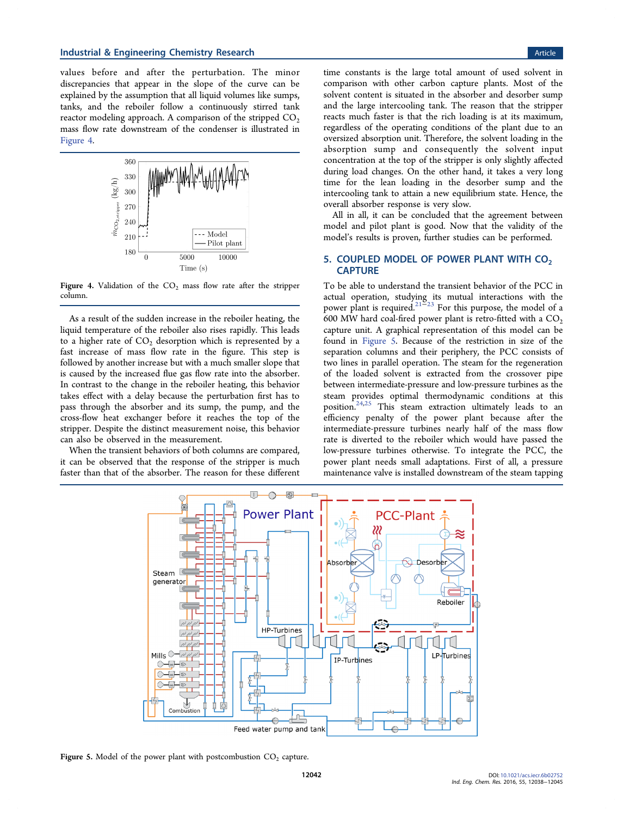<span id="page-4-0"></span>values before and after the perturbation. The minor discrepancies that appear in the slope of the curve can be explained by the assumption that all liquid volumes like sumps, tanks, and the reboiler follow a continuously stirred tank reactor modeling approach. A comparison of the stripped  $CO<sub>2</sub>$ mass flow rate downstream of the condenser is illustrated in Figure 4.



Figure 4. Validation of the  $CO<sub>2</sub>$  mass flow rate after the stripper column.

As a result of the sudden increase in the reboiler heating, the liquid temperature of the reboiler also rises rapidly. This leads to a higher rate of  $CO<sub>2</sub>$  desorption which is represented by a fast increase of mass flow rate in the figure. This step is followed by another increase but with a much smaller slope that is caused by the increased flue gas flow rate into the absorber. In contrast to the change in the reboiler heating, this behavior takes effect with a delay because the perturbation first has to pass through the absorber and its sump, the pump, and the cross-flow heat exchanger before it reaches the top of the stripper. Despite the distinct measurement noise, this behavior can also be observed in the measurement.

When the transient behaviors of both columns are compared, it can be observed that the response of the stripper is much faster than that of the absorber. The reason for these different

time constants is the large total amount of used solvent in comparison with other carbon capture plants. Most of the solvent content is situated in the absorber and desorber sump and the large intercooling tank. The reason that the stripper reacts much faster is that the rich loading is at its maximum, regardless of the operating conditions of the plant due to an oversized absorption unit. Therefore, the solvent loading in the absorption sump and consequently the solvent input concentration at the top of the stripper is only slightly affected during load changes. On the other hand, it takes a very long time for the lean loading in the desorber sump and the intercooling tank to attain a new equilibrium state. Hence, the overall absorber response is very slow.

All in all, it can be concluded that the agreement between model and pilot plant is good. Now that the validity of the model's results is proven, further studies can be performed.

# 5. COUPLED MODEL OF POWER PLANT WITH  $CO<sub>2</sub>$ **CAPTURE**

To be able to understand the transient behavior of the PCC in actual operation, studying its mutual interactions with the power plant is required.[21](#page-7-0)−[23](#page-7-0) For this purpose, the model of a 600 MW hard coal-fired power plant is retro-fitted with a  $CO<sub>2</sub>$ capture unit. A graphical representation of this model can be found in Figure 5. Because of the restriction in size of the separation columns and their periphery, the PCC consists of two lines in parallel operation. The steam for the regeneration of the loaded solvent is extracted from the crossover pipe between intermediate-pressure and low-pressure turbines as the steam provides optimal thermodynamic conditions at this position.[24](#page-7-0),[25](#page-7-0) This steam extraction ultimately leads to an efficiency penalty of the power plant because after the intermediate-pressure turbines nearly half of the mass flow rate is diverted to the reboiler which would have passed the low-pressure turbines otherwise. To integrate the PCC, the power plant needs small adaptations. First of all, a pressure maintenance valve is installed downstream of the steam tapping



Figure 5. Model of the power plant with postcombustion  $CO<sub>2</sub>$  capture.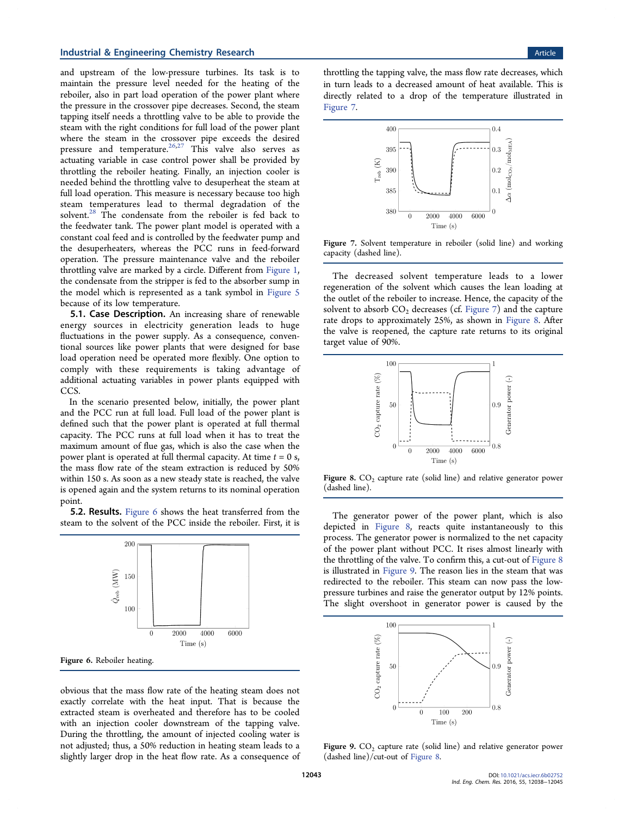## <span id="page-5-0"></span>**Industrial & Engineering Chemistry Research Article 3 and 2008 Control Article Article Article 3 and 2008 Control Article 3 and 2008 Control Article 3 and 2008 Control Article 3 and 2008 Control Article 3 and 2008 Control**

and upstream of the low-pressure turbines. Its task is to maintain the pressure level needed for the heating of the reboiler, also in part load operation of the power plant where the pressure in the crossover pipe decreases. Second, the steam tapping itself needs a throttling valve to be able to provide the steam with the right conditions for full load of the power plant where the steam in the crossover pipe exceeds the desired pressure and temperature.<sup>[26](#page-7-0),[27](#page-7-0)</sup> This valve also serves as actuating variable in case control power shall be provided by throttling the reboiler heating. Finally, an injection cooler is needed behind the throttling valve to desuperheat the steam at full load operation. This measure is necessary because too high steam temperatures lead to thermal degradation of the solvent.<sup>[28](#page-7-0)</sup> The condensate from the reboiler is fed back to the feedwater tank. The power plant model is operated with a constant coal feed and is controlled by the feedwater pump and the desuperheaters, whereas the PCC runs in feed-forward operation. The pressure maintenance valve and the reboiler throttling valve are marked by a circle. Different from [Figure 1](#page-1-0), the condensate from the stripper is fed to the absorber sump in the model which is represented as a tank symbol in [Figure 5](#page-4-0) because of its low temperature.

**5.1. Case Description.** An increasing share of renewable energy sources in electricity generation leads to huge fluctuations in the power supply. As a consequence, conventional sources like power plants that were designed for base load operation need be operated more flexibly. One option to comply with these requirements is taking advantage of additional actuating variables in power plants equipped with CCS.

In the scenario presented below, initially, the power plant and the PCC run at full load. Full load of the power plant is defined such that the power plant is operated at full thermal capacity. The PCC runs at full load when it has to treat the maximum amount of flue gas, which is also the case when the power plant is operated at full thermal capacity. At time  $t = 0$  s, the mass flow rate of the steam extraction is reduced by 50% within 150 s. As soon as a new steady state is reached, the valve is opened again and the system returns to its nominal operation point.

5.2. Results. Figure 6 shows the heat transferred from the steam to the solvent of the PCC inside the reboiler. First, it is



obvious that the mass flow rate of the heating steam does not exactly correlate with the heat input. That is because the extracted steam is overheated and therefore has to be cooled with an injection cooler downstream of the tapping valve. During the throttling, the amount of injected cooling water is not adjusted; thus, a 50% reduction in heating steam leads to a slightly larger drop in the heat flow rate. As a consequence of

throttling the tapping valve, the mass flow rate decreases, which in turn leads to a decreased amount of heat available. This is directly related to a drop of the temperature illustrated in Figure 7.



Figure 7. Solvent temperature in reboiler (solid line) and working capacity (dashed line).

The decreased solvent temperature leads to a lower regeneration of the solvent which causes the lean loading at the outlet of the reboiler to increase. Hence, the capacity of the solvent to absorb  $CO<sub>2</sub>$  decreases (cf. Figure 7) and the capture rate drops to approximately 25%, as shown in Figure 8. After the valve is reopened, the capture rate returns to its original target value of 90%.



Figure 8.  $CO<sub>2</sub>$  capture rate (solid line) and relative generator power (dashed line).

The generator power of the power plant, which is also depicted in Figure 8, reacts quite instantaneously to this process. The generator power is normalized to the net capacity of the power plant without PCC. It rises almost linearly with the throttling of the valve. To confirm this, a cut-out of Figure 8 is illustrated in Figure 9. The reason lies in the steam that was redirected to the reboiler. This steam can now pass the lowpressure turbines and raise the generator output by 12% points. The slight overshoot in generator power is caused by the



Figure 9.  $CO<sub>2</sub>$  capture rate (solid line) and relative generator power (dashed line)/cut-out of Figure 8.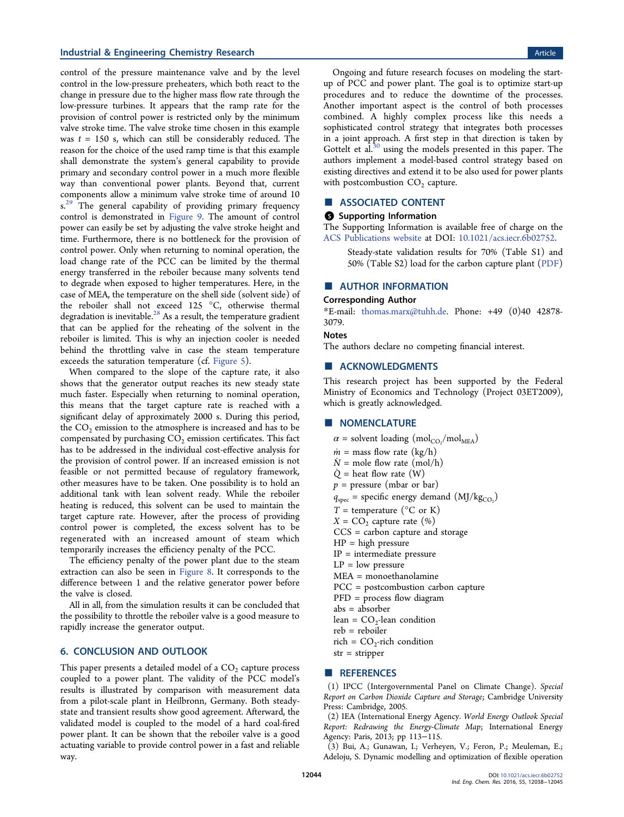## <span id="page-6-0"></span>**Industrial & Engineering Chemistry Research Article 3 and 2008 Control Article Article 4 and 2008 Control Article 4 and 2008 Control Article 4 and 2008 Control Article 4 and 2008 Control Article 4 and 2008 Control Article**

control of the pressure maintenance valve and by the level control in the low-pressure preheaters, which both react to the change in pressure due to the higher mass flow rate through the low-pressure turbines. It appears that the ramp rate for the provision of control power is restricted only by the minimum valve stroke time. The valve stroke time chosen in this example was  $t = 150$  s, which can still be considerably reduced. The reason for the choice of the used ramp time is that this example shall demonstrate the system's general capability to provide primary and secondary control power in a much more flexible way than conventional power plants. Beyond that, current components allow a minimum valve stroke time of around 10 s.<sup>[29](#page-7-0)</sup> The general capability of providing primary frequency control is demonstrated in [Figure 9.](#page-5-0) The amount of control power can easily be set by adjusting the valve stroke height and time. Furthermore, there is no bottleneck for the provision of control power. Only when returning to nominal operation, the load change rate of the PCC can be limited by the thermal energy transferred in the reboiler because many solvents tend to degrade when exposed to higher temperatures. Here, in the case of MEA, the temperature on the shell side (solvent side) of the reboiler shall not exceed 125  $^{\circ}$ C, otherwise thermal degradation is inevitable. $^{28}$  $^{28}$  $^{28}$  As a result, the temperature gradient that can be applied for the reheating of the solvent in the reboiler is limited. This is why an injection cooler is needed behind the throttling valve in case the steam temperature exceeds the saturation temperature (cf. [Figure 5\)](#page-4-0).

When compared to the slope of the capture rate, it also shows that the generator output reaches its new steady state much faster. Especially when returning to nominal operation, this means that the target capture rate is reached with a significant delay of approximately 2000 s. During this period, the  $CO<sub>2</sub>$  emission to the atmosphere is increased and has to be compensated by purchasing  $CO<sub>2</sub>$  emission certificates. This fact has to be addressed in the individual cost-effective analysis for the provision of control power. If an increased emission is not feasible or not permitted because of regulatory framework, other measures have to be taken. One possibility is to hold an additional tank with lean solvent ready. While the reboiler heating is reduced, this solvent can be used to maintain the target capture rate. However, after the process of providing control power is completed, the excess solvent has to be regenerated with an increased amount of steam which temporarily increases the efficiency penalty of the PCC.

The efficiency penalty of the power plant due to the steam extraction can also be seen in [Figure 8](#page-5-0). It corresponds to the difference between 1 and the relative generator power before the valve is closed.

All in all, from the simulation results it can be concluded that the possibility to throttle the reboiler valve is a good measure to rapidly increase the generator output.

#### 6. CONCLUSION AND OUTLOOK

This paper presents a detailed model of a  $CO<sub>2</sub>$  capture process coupled to a power plant. The validity of the PCC model's results is illustrated by comparison with measurement data from a pilot-scale plant in Heilbronn, Germany. Both steadystate and transient results show good agreement. Afterward, the validated model is coupled to the model of a hard coal-fired power plant. It can be shown that the reboiler valve is a good actuating variable to provide control power in a fast and reliable way.

Ongoing and future research focuses on modeling the startup of PCC and power plant. The goal is to optimize start-up procedures and to reduce the downtime of the processes. Another important aspect is the control of both processes combined. A highly complex process like this needs a sophisticated control strategy that integrates both processes in a joint approach. A first step in that direction is taken by Gottelt et al.<sup>[30](#page-7-0)</sup> using the models presented in this paper. The authors implement a model-based control strategy based on existing directives and extend it to be also used for power plants with postcombustion  $CO<sub>2</sub>$  capture.

#### ■ ASSOCIATED CONTENT

# **6** Supporting Information

The Supporting Information is available free of charge on the [ACS Publications website](http://pubs.acs.org) at DOI: [10.1021/acs.iecr.6b02752](http://pubs.acs.org/doi/abs/10.1021/acs.iecr.6b02752).

Steady-state validation results for 70% (Table S1) and 50% (Table S2) load for the carbon capture plant ([PDF\)](http://pubs.acs.org/doi/suppl/10.1021/acs.iecr.6b02752/suppl_file/ie6b02752_si_001.pdf)

#### ■ AUTHOR INFORMATION

#### Corresponding Author

\*E-mail: [thomas.marx@tuhh.de.](mailto:thomas.marx@tuhh.de) Phone: +49 (0)40 42878- 3079.

#### Notes

The authors declare no competing financial interest.

#### ■ ACKNOWLEDGMENTS

This research project has been supported by the Federal Ministry of Economics and Technology (Project 03ET2009), which is greatly acknowledged.

## ■ NOMENCLATURE

 $\alpha$  = solvent loading (mol<sub>CO2</sub>/mol<sub>MEA</sub>)

- $\dot{m}$  = mass flow rate (kg/h)
- $N =$  mole flow rate (mol/h)
- $\dot{Q}$  = heat flow rate  $(W)$
- $p =$  pressure (mbar or bar)
- $q_{\text{spec}}$  = specific energy demand (MJ/kg<sub>CO<sub>2</sub></sub>)
- $T =$  temperature ( ${}^{\circ}$ C or K)
- $X = CO<sub>2</sub>$  capture rate (%)
- CCS = carbon capture and storage
- $HP = high pressure$
- IP = intermediate pressure
- $LP = low pressure$
- MEA = monoethanolamine
- PCC = postcombustion carbon capture
- PFD = process flow diagram
- abs = absorber
- lean =  $CO_2$ -lean condition
- reb = reboiler
- rich =  $CO_2$ -rich condition str = stripper

# ■ REFERENCES

(1) IPCC (Intergovernmental Panel on Climate Change). Special Report on Carbon Dioxide Capture and Storage; Cambridge University Press: Cambridge, 2005.

(2) IEA (International Energy Agency. World Energy Outlook Special Report: Redrawing the Energy-Climate Map; International Energy Agency: Paris, 2013; pp 113−115.

(3) Bui, A.; Gunawan, I.; Verheyen, V.; Feron, P.; Meuleman, E.; Adeloju, S. Dynamic modelling and optimization of flexible operation